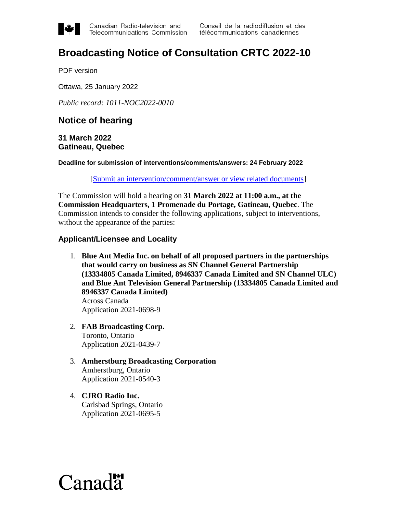

Canadian Radio-television and Telecommunications Commission

## **Broadcasting Notice of Consultation CRTC 2022-10**

PDF version

Ottawa, 25 January 2022

*Public record: 1011-NOC2022-0010* 

## **Notice of hearing**

**31 March 2022 Gatineau, Quebec** 

**Deadline for submission of interventions/comments/answers: 24 February 2022** 

[\[Submit an intervention/comment/answer or view related documents\]](https://services.crtc.gc.ca/pub/instances-proceedings/Default-defaut.aspx?EN=2022-10&Lang=eng)

The Commission will hold a hearing on **31 March 2022 at 11:00 a.m., at the Commission Headquarters, 1 Promenade du Portage, Gatineau, Quebec**. The Commission intends to consider the following applications, subject to interventions, without the appearance of the parties:

## **Applicant/Licensee and Locality**

1. **Blue Ant Media Inc. on behalf of all proposed partners in the partnerships that would carry on business as SN Channel General Partnership (13334805 Canada Limited, 8946337 Canada Limited and SN Channel ULC) and Blue Ant Television General Partnership (13334805 Canada Limited and 8946337 Canada Limited)**  Across Canada

Application 2021-0698-9

- 2. **FAB Broadcasting Corp.**  Toronto, Ontario Application 2021-0439-7
- 3. **Amherstburg Broadcasting Corporation**  Amherstburg, Ontario Application 2021-0540-3
- 4. **CJRO Radio Inc.**  Carlsbad Springs, Ontario Application 2021-0695-5

# $Canad\ddot{a}$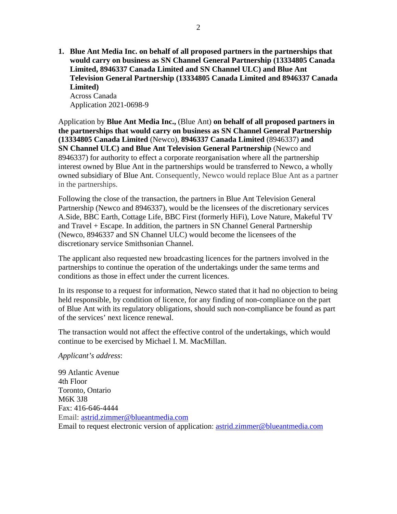**1. Blue Ant Media Inc. on behalf of all proposed partners in the partnerships that would carry on business as SN Channel General Partnership (13334805 Canada Limited, 8946337 Canada Limited and SN Channel ULC) and Blue Ant Television General Partnership (13334805 Canada Limited and 8946337 Canada Limited)**  Across Canada

Application 2021-0698-9

Application by **Blue Ant Media Inc.,** (Blue Ant) **on behalf of all proposed partners in the partnerships that would carry on business as SN Channel General Partnership (13334805 Canada Limited** (Newco), **8946337 Canada Limited** (8946337) **and SN Channel ULC) and Blue Ant Television General Partnership** (Newco and 8946337) for authority to effect a corporate reorganisation where all the partnership interest owned by Blue Ant in the partnerships would be transferred to Newco, a wholly owned subsidiary of Blue Ant. Consequently, Newco would replace Blue Ant as a partner in the partnerships.

Following the close of the transaction, the partners in Blue Ant Television General Partnership (Newco and 8946337), would be the licensees of the discretionary services A.Side, BBC Earth, Cottage Life, BBC First (formerly HiFi), Love Nature, Makeful TV and Travel + Escape. In addition, the partners in SN Channel General Partnership (Newco, 8946337 and SN Channel ULC) would become the licensees of the discretionary service Smithsonian Channel.

The applicant also requested new broadcasting licences for the partners involved in the partnerships to continue the operation of the undertakings under the same terms and conditions as those in effect under the current licences.

In its response to a request for information, Newco stated that it had no objection to being held responsible, by condition of licence, for any finding of non-compliance on the part of Blue Ant with its regulatory obligations, should such non-compliance be found as part of the services' next licence renewal.

The transaction would not affect the effective control of the undertakings, which would continue to be exercised by Michael I. M. MacMillan.

## *Applicant's address*:

99 Atlantic Avenue 4th Floor Toronto, Ontario M6K 3J8 Fax: 416-646-4444 Email: [astrid.zimmer@blueantmedia.com](mailto:astrid.zimmer@blueantmedia.com) Email to request electronic version of application: [astrid.zimmer@blueantmedia.com](mailto:astrid.zimmer@blueantmedia.com)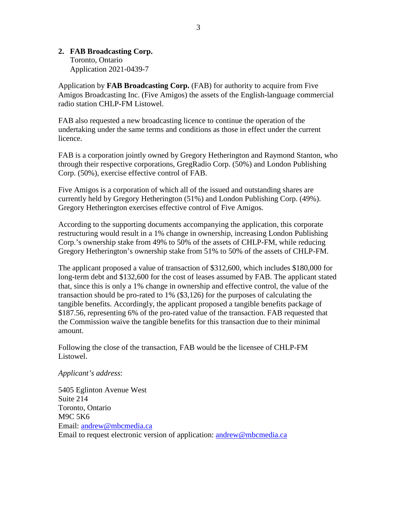## **2. FAB Broadcasting Corp.**

Toronto, Ontario Application 2021-0439-7

Application by **FAB Broadcasting Corp.** (FAB) for authority to acquire from Five Amigos Broadcasting Inc. (Five Amigos) the assets of the English-language commercial radio station CHLP-FM Listowel.

FAB also requested a new broadcasting licence to continue the operation of the undertaking under the same terms and conditions as those in effect under the current licence.

FAB is a corporation jointly owned by Gregory Hetherington and Raymond Stanton, who through their respective corporations, GregRadio Corp. (50%) and London Publishing Corp. (50%), exercise effective control of FAB.

Five Amigos is a corporation of which all of the issued and outstanding shares are currently held by Gregory Hetherington (51%) and London Publishing Corp. (49%). Gregory Hetherington exercises effective control of Five Amigos.

According to the supporting documents accompanying the application, this corporate restructuring would result in a 1% change in ownership, increasing London Publishing Corp.'s ownership stake from 49% to 50% of the assets of CHLP-FM, while reducing Gregory Hetherington's ownership stake from 51% to 50% of the assets of CHLP-FM.

The applicant proposed a value of transaction of \$312,600, which includes \$180,000 for long-term debt and \$132,600 for the cost of leases assumed by FAB. The applicant stated that, since this is only a 1% change in ownership and effective control, the value of the transaction should be pro-rated to 1% (\$3,126) for the purposes of calculating the tangible benefits. Accordingly, the applicant proposed a tangible benefits package of \$187.56, representing 6% of the pro-rated value of the transaction. FAB requested that the Commission waive the tangible benefits for this transaction due to their minimal amount.

Following the close of the transaction, FAB would be the licensee of CHLP-FM Listowel.

## *Applicant's address*:

5405 Eglinton Avenue West Suite 214 Toronto, Ontario M9C 5K6 Email: [andrew@mbcmedia.ca](mailto:andrew@mbcmedia.ca) Email to request electronic version of application: [andrew@mbcmedia.ca](mailto:andrew@mbcmedia.ca)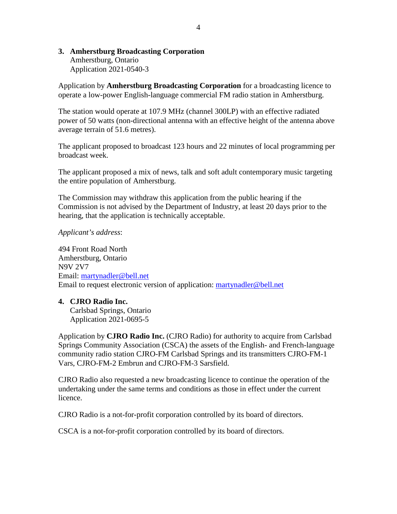## **3. Amherstburg Broadcasting Corporation**

Amherstburg, Ontario Application 2021-0540-3

Application by **Amherstburg Broadcasting Corporation** for a broadcasting licence to operate a low-power English-language commercial FM radio station in Amherstburg.

The station would operate at 107.9 MHz (channel 300LP) with an effective radiated power of 50 watts (non-directional antenna with an effective height of the antenna above average terrain of 51.6 metres).

The applicant proposed to broadcast 123 hours and 22 minutes of local programming per broadcast week.

The applicant proposed a mix of news, talk and soft adult contemporary music targeting the entire population of Amherstburg.

The Commission may withdraw this application from the public hearing if the Commission is not advised by the Department of Industry, at least 20 days prior to the hearing, that the application is technically acceptable.

*Applicant's address*:

494 Front Road North Amherstburg, Ontario N9V 2V7 Email: [martynadler@bell.net](mailto:martynadler@bell.net)  Email to request electronic version of application: [martynadler@bell.net](mailto:martynadler@bell.net) 

## **4. CJRO Radio Inc.**

Carlsbad Springs, Ontario Application 2021-0695-5

Application by **CJRO Radio Inc.** (CJRO Radio) for authority to acquire from Carlsbad Springs Community Association (CSCA) the assets of the English- and French-language community radio station CJRO-FM Carlsbad Springs and its transmitters CJRO-FM-1 Vars, CJRO-FM-2 Embrun and CJRO-FM-3 Sarsfield.

CJRO Radio also requested a new broadcasting licence to continue the operation of the undertaking under the same terms and conditions as those in effect under the current licence.

CJRO Radio is a not-for-profit corporation controlled by its board of directors.

CSCA is a not-for-profit corporation controlled by its board of directors.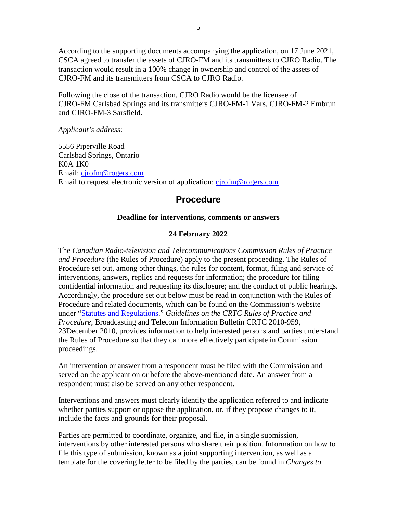According to the supporting documents accompanying the application, on 17 June 2021, CSCA agreed to transfer the assets of CJRO-FM and its transmitters to CJRO Radio. The transaction would result in a 100% change in ownership and control of the assets of CJRO-FM and its transmitters from CSCA to CJRO Radio.

Following the close of the transaction, CJRO Radio would be the licensee of CJRO-FM Carlsbad Springs and its transmitters CJRO-FM-1 Vars, CJRO-FM-2 Embrun and CJRO-FM-3 Sarsfield.

*Applicant's address*:

5556 Piperville Road Carlsbad Springs, Ontario K0A 1K0 Email: [cjrofm@rogers.com](mailto:cjrofm@rogers.com) Email to request electronic version of application: [cjrofm@rogers.com](mailto:cjrofm@rogers.com)

## **Procedure**

## **Deadline for interventions, comments or answers**

## **24 February 2022**

The *Canadian Radio-television and Telecommunications Commission Rules of Practice and Procedure* (the Rules of Procedure) apply to the present proceeding. The Rules of Procedure set out, among other things, the rules for content, format, filing and service of interventions, answers, replies and requests for information; the procedure for filing confidential information and requesting its disclosure; and the conduct of public hearings. Accordingly, the procedure set out below must be read in conjunction with the Rules of Procedure and related documents, which can be found on the Commission's website under ["Statutes and Regulations.](https://crtc.gc.ca/eng/statutes-lois.htm)" *Guidelines on the CRTC Rules of Practice and Procedure*, Broadcasting and Telecom Information Bulletin CRTC 2010-959, 23December 2010, provides information to help interested persons and parties understand the Rules of Procedure so that they can more effectively participate in Commission proceedings.

An intervention or answer from a respondent must be filed with the Commission and served on the applicant on or before the above-mentioned date. An answer from a respondent must also be served on any other respondent.

Interventions and answers must clearly identify the application referred to and indicate whether parties support or oppose the application, or, if they propose changes to it, include the facts and grounds for their proposal.

Parties are permitted to coordinate, organize, and file, in a single submission, interventions by other interested persons who share their position. Information on how to file this type of submission, known as a joint supporting intervention, as well as a template for the covering letter to be filed by the parties, can be found in *Changes to*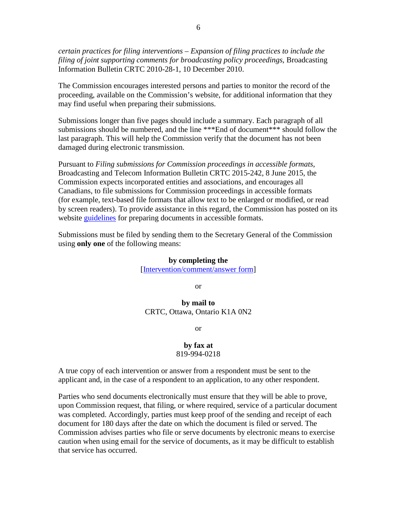*certain practices for filing interventions – Expansion of filing practices to include the filing of joint supporting comments for broadcasting policy proceedings*, Broadcasting Information Bulletin CRTC 2010-28-1, 10 December 2010.

The Commission encourages interested persons and parties to monitor the record of the proceeding, available on the Commission's website, for additional information that they may find useful when preparing their submissions.

Submissions longer than five pages should include a summary. Each paragraph of all submissions should be numbered, and the line \*\*\*End of document\*\*\* should follow the last paragraph. This will help the Commission verify that the document has not been damaged during electronic transmission.

Pursuant to *Filing submissions for Commission proceedings in accessible formats*, Broadcasting and Telecom Information Bulletin CRTC 2015-242, 8 June 2015, the Commission expects incorporated entities and associations, and encourages all Canadians, to file submissions for Commission proceedings in accessible formats (for example, text-based file formats that allow text to be enlarged or modified, or read by screen readers). To provide assistance in this regard, the Commission has posted on its website [guidelines](https://crtc.gc.ca/eng/archive/acces.htm?_ga=2.47597863.1480105964.1632744316-1534626360.1632238144) for preparing documents in accessible formats.

Submissions must be filed by sending them to the Secretary General of the Commission using **only one** of the following means:

#### **by completing the**

[\[Intervention/comment/answer form\]](https://services.crtc.gc.ca/pub/instances-proceedings/Default-defaut.aspx?EN=2022-10&Lang=eng)

or

## **by mail to**  CRTC, Ottawa, Ontario K1A 0N2

or

#### **by fax at**  819-994-0218

A true copy of each intervention or answer from a respondent must be sent to the applicant and, in the case of a respondent to an application, to any other respondent.

Parties who send documents electronically must ensure that they will be able to prove, upon Commission request, that filing, or where required, service of a particular document was completed. Accordingly, parties must keep proof of the sending and receipt of each document for 180 days after the date on which the document is filed or served. The Commission advises parties who file or serve documents by electronic means to exercise caution when using email for the service of documents, as it may be difficult to establish that service has occurred.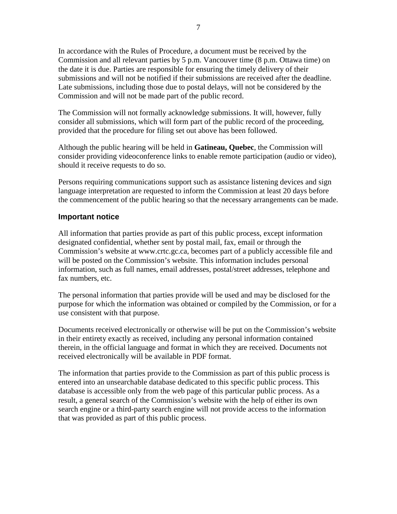In accordance with the Rules of Procedure, a document must be received by the Commission and all relevant parties by 5 p.m. Vancouver time (8 p.m. Ottawa time) on the date it is due. Parties are responsible for ensuring the timely delivery of their submissions and will not be notified if their submissions are received after the deadline. Late submissions, including those due to postal delays, will not be considered by the Commission and will not be made part of the public record.

The Commission will not formally acknowledge submissions. It will, however, fully consider all submissions, which will form part of the public record of the proceeding, provided that the procedure for filing set out above has been followed.

Although the public hearing will be held in **Gatineau, Quebec**, the Commission will consider providing videoconference links to enable remote participation (audio or video), should it receive requests to do so.

Persons requiring communications support such as assistance listening devices and sign language interpretation are requested to inform the Commission at least 20 days before the commencement of the public hearing so that the necessary arrangements can be made.

## **Important notice**

All information that parties provide as part of this public process, except information designated confidential, whether sent by postal mail, fax, email or through the Commission's website at www.crtc.gc.ca, becomes part of a publicly accessible file and will be posted on the Commission's website. This information includes personal information, such as full names, email addresses, postal/street addresses, telephone and fax numbers, etc.

The personal information that parties provide will be used and may be disclosed for the purpose for which the information was obtained or compiled by the Commission, or for a use consistent with that purpose.

Documents received electronically or otherwise will be put on the Commission's website in their entirety exactly as received, including any personal information contained therein, in the official language and format in which they are received. Documents not received electronically will be available in PDF format.

The information that parties provide to the Commission as part of this public process is entered into an unsearchable database dedicated to this specific public process. This database is accessible only from the web page of this particular public process. As a result, a general search of the Commission's website with the help of either its own search engine or a third-party search engine will not provide access to the information that was provided as part of this public process.